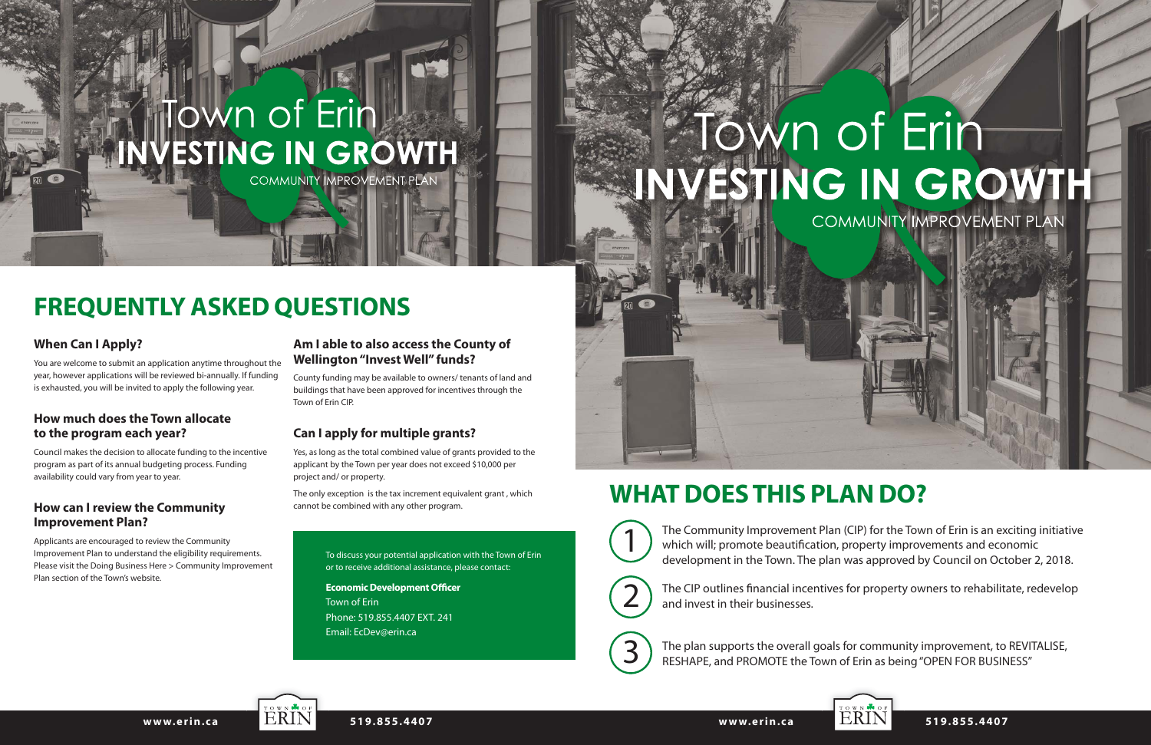# **NUESTING IN GROWTH**

COMMUNITY IMPROVEMENT PLAN

The Community Improvement Plan (CIP) for the Town of Erin is an exciting initiative which will; promote beautification, property improvements and economic development in the Town. The plan was approved by Council on October 2, 2018.

The CIP outlines financial incentives for property owners to rehabilitate, redevelop and invest in their businesses.

The plan supports the overall goals for community improvement, to REVITALISE, RESHAPE, and PROMOTE the Town of Erin as being "OPEN FOR BUSINESS"



2





www.erin.ca **ERIN** 519.855.4407

## **WHAT DOES THIS PLAN DO?**

### **When Can I Apply?**

You are welcome to submit an application anytime throughout the year, however applications will be reviewed bi-annually. If funding is exhausted, you will be invited to apply the following year.

#### **How much does the Town allocate to the program each year?**

Council makes the decision to allocate funding to the incentive program as part of its annual budgeting process. Funding availability could vary from year to year.

#### **How can I review the Community Improvement Plan?**

Applicants are encouraged to review the Community Improvement Plan to understand the eligibility requirements. Please visit the Doing Business Here > Community Improvement Plan section of the Town's website.

#### **Am I able to also access the County of Wellington "Invest Well" funds?**

County funding may be available to owners/ tenants of land and buildings that have been approved for incentives through the Town of Erin CIP.

### **Can I apply for multiple grants?**

Yes, as long as the total combined value of grants provided to the applicant by the Town per year does not exceed \$10,000 per project and/ or property.

The only exception is the tax increment equivalent grant , which cannot be combined with any other program.

### **FREQUENTLY ASKED QUESTIONS**

To discuss your potential application with the Town of Erin or to receive additional assistance, please contact:

**Economic Development Officer** Town of Erin Phone: 519.855.4407 EXT. 241 Email: EcDev@erin.ca

# Town of Erin INVESTING IN GROWTH COMMUNITY IMPROVEMENT PLAN